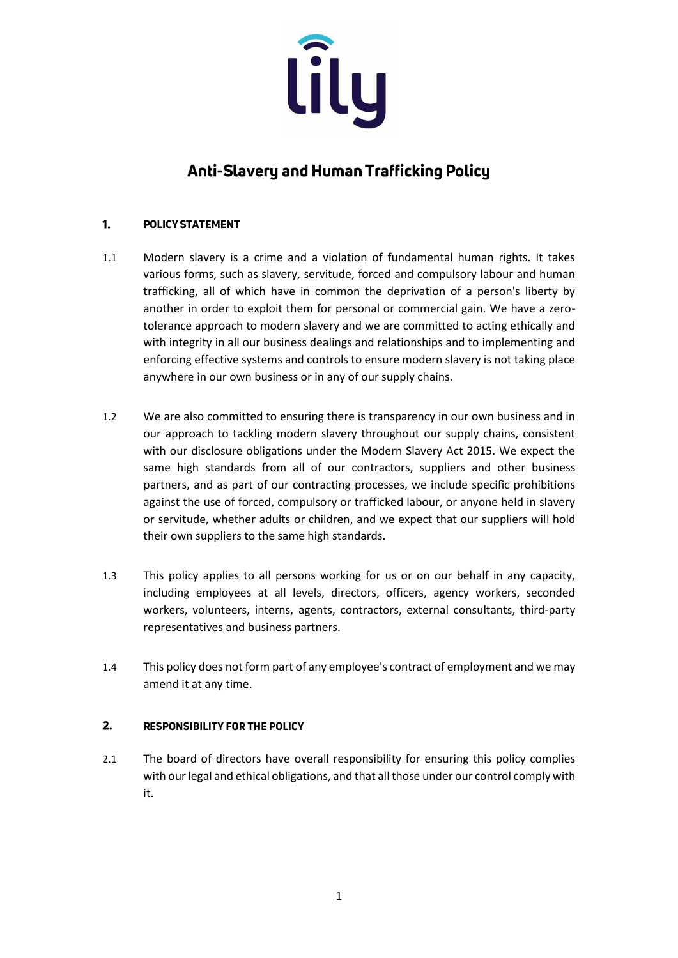

# Anti-Slavery and Human Trafficking Policy

## 1. **POLICY STATEMENT**

- 1.1 Modern slavery is a crime and a violation of fundamental human rights. It takes various forms, such as slavery, servitude, forced and compulsory labour and human trafficking, all of which have in common the deprivation of a person's liberty by another in order to exploit them for personal or commercial gain. We have a zerotolerance approach to modern slavery and we are committed to acting ethically and with integrity in all our business dealings and relationships and to implementing and enforcing effective systems and controls to ensure modern slavery is not taking place anywhere in our own business or in any of our supply chains.
- 1.2 We are also committed to ensuring there is transparency in our own business and in our approach to tackling modern slavery throughout our supply chains, consistent with our disclosure obligations under the Modern Slavery Act 2015. We expect the same high standards from all of our contractors, suppliers and other business partners, and as part of our contracting processes, we include specific prohibitions against the use of forced, compulsory or trafficked labour, or anyone held in slavery or servitude, whether adults or children, and we expect that our suppliers will hold their own suppliers to the same high standards.
- 1.3 This policy applies to all persons working for us or on our behalf in any capacity, including employees at all levels, directors, officers, agency workers, seconded workers, volunteers, interns, agents, contractors, external consultants, third-party representatives and business partners.
- 1.4 This policy does not form part of any employee's contract of employment and we may amend it at any time.

## $2.$ **RESPONSIBILITY FOR THE POLICY**

2.1 The board of directors have overall responsibility for ensuring this policy complies with our legal and ethical obligations, and that all those under our control comply with it.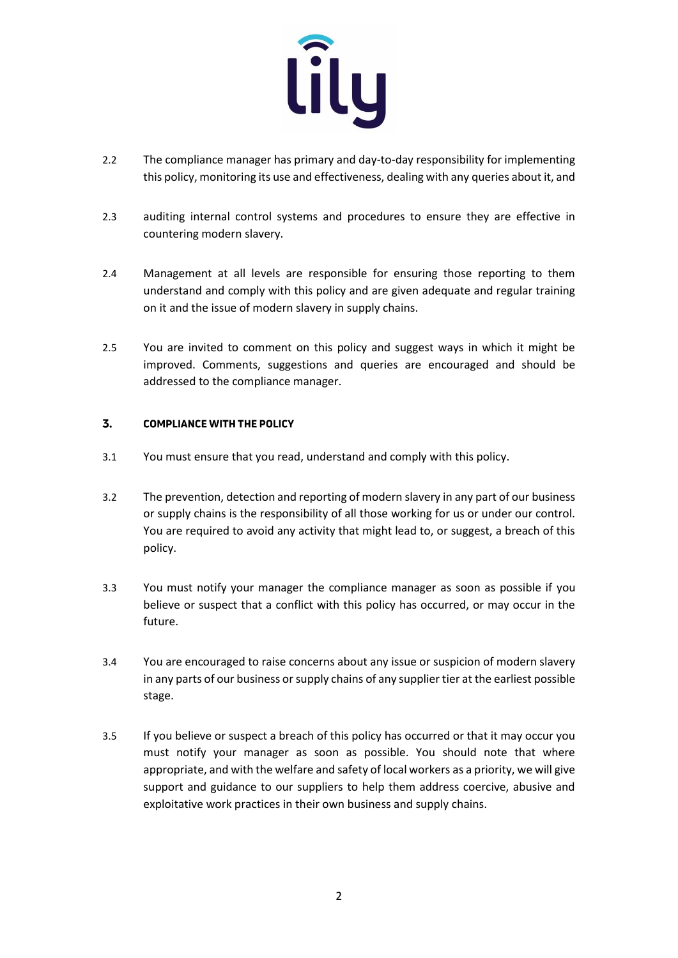

- 2.2 The compliance manager has primary and day-to-day responsibility for implementing this policy, monitoring its use and effectiveness, dealing with any queries about it, and
- 2.3 auditing internal control systems and procedures to ensure they are effective in countering modern slavery.
- 2.4 Management at all levels are responsible for ensuring those reporting to them understand and comply with this policy and are given adequate and regular training on it and the issue of modern slavery in supply chains.
- 2.5 You are invited to comment on this policy and suggest ways in which it might be improved. Comments, suggestions and queries are encouraged and should be addressed to the compliance manager.

#### $\overline{3}$ . **COMPLIANCE WITH THE POLICY**

- 3.1 You must ensure that you read, understand and comply with this policy.
- 3.2 The prevention, detection and reporting of modern slavery in any part of our business or supply chains is the responsibility of all those working for us or under our control. You are required to avoid any activity that might lead to, or suggest, a breach of this policy.
- 3.3 You must notify your manager the compliance manager as soon as possible if you believe or suspect that a conflict with this policy has occurred, or may occur in the future.
- 3.4 You are encouraged to raise concerns about any issue or suspicion of modern slavery in any parts of our business or supply chains of any supplier tier at the earliest possible stage.
- 3.5 If you believe or suspect a breach of this policy has occurred or that it may occur you must notify your manager as soon as possible. You should note that where appropriate, and with the welfare and safety of local workers as a priority, we will give support and guidance to our suppliers to help them address coercive, abusive and exploitative work practices in their own business and supply chains.